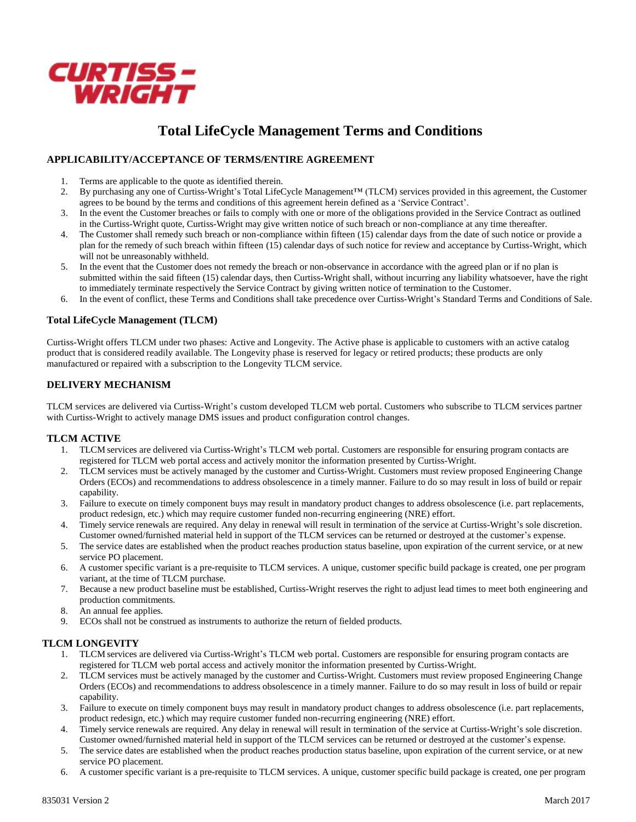

# **Total LifeCycle Management Terms and Conditions**

# **APPLICABILITY/ACCEPTANCE OF TERMS/ENTIRE AGREEMENT**

- 1. Terms are applicable to the quote as identified therein.<br>2. By purchasing any one of Curtiss-Wright's Total I ifed
- 2. By purchasing any one of Curtiss-Wright's Total LifeCycle Management™ (TLCM) services provided in this agreement, the Customer agrees to be bound by the terms and conditions of this agreement herein defined as a 'Service Contract'.
- 3. In the event the Customer breaches or fails to comply with one or more of the obligations provided in the Service Contract as outlined in the Curtiss-Wright quote, Curtiss-Wright may give written notice of such breach or non-compliance at any time thereafter.
- 4. The Customer shall remedy such breach or non-compliance within fifteen (15) calendar days from the date of such notice or provide a plan for the remedy of such breach within fifteen  $(15)$  calendar days of such notice for review and acceptance by Curtiss-Wright, which will not be unreasonably withheld.
- 5. In the event that the Customer does not remedy the breach or non-observance in accordance with the agreed plan or if no plan is submitted within the said fifteen (15) calendar days, then Curtiss-Wright shall, without incurring any liability whatsoever, have the right to immediately terminate respectively the Service Contract by giving written notice of termination to the Customer.
- 6. In the event of conflict, these Terms and Conditions shall take precedence over Curtiss-Wright's Standard Terms and Conditions of Sale.

## **Total LifeCycle Management (TLCM)**

Curtiss-Wright offers TLCM under two phases: Active and Longevity. The Active phase is applicable to customers with an active catalog product that is considered readily available. The Longevity phase is reserved for legacy or retired products; these products are only manufactured or repaired with a subscription to the Longevity TLCM service.

# **DELIVERY MECHANISM**

TLCM services are delivered via Curtiss-Wright's custom developed TLCM web portal. Customers who subscribe to TLCM services partner with Curtiss-Wright to actively manage DMS issues and product configuration control changes.

#### **TLCM ACTIVE**

- 1. TLCM services are delivered via Curtiss-Wright's TLCM web portal. Customers are responsible for ensuring program contacts are registered for TLCM web portal access and actively monitor the information presented by Curtiss-Wright.
- 2. TLCM services must be actively managed by the customer and Curtiss-Wright. Customers must review proposed Engineering Change Orders (ECOs) and recommendations to address obsolescence in a timely manner. Failure to do so may result in loss of build or repair capability.
- 3. Failure to execute on timely component buys may result in mandatory product changes to address obsolescence (i.e. part replacements, product redesign, etc.) which may require customer funded non-recurring engineering (NRE) effort.
- 4. Timely service renewals are required. Any delay in renewal will result in termination of the service at Curtiss-Wright's sole discretion. Customer owned/furnished material held in support of the TLCM services can be returned or destroyed at the customer's expense.
- 5. The service dates are established when the product reaches production status baseline, upon expiration of the current service, or at new service PO placement.
- 6. A customer specific variant is a pre-requisite to TLCM services. A unique, customer specific build package is created, one per program variant, at the time of TLCM purchase.
- 7. Because a new product baseline must be established, Curtiss-Wright reserves the right to adjust lead times to meet both engineering and production commitments.
- 8. An annual fee applies.
- 9. ECOs shall not be construed as instruments to authorize the return of fielded products.

# **TLCM LONGEVITY**

- 1. TLCM services are delivered via Curtiss-Wright's TLCM web portal. Customers are responsible for ensuring program contacts are registered for TLCM web portal access and actively monitor the information presented by Curtiss-Wright.
- 2. TLCM services must be actively managed by the customer and Curtiss-Wright. Customers must review proposed Engineering Change Orders (ECOs) and recommendations to address obsolescence in a timely manner. Failure to do so may result in loss of build or repair capability.
- 3. Failure to execute on timely component buys may result in mandatory product changes to address obsolescence (i.e. part replacements, product redesign, etc.) which may require customer funded non-recurring engineering (NRE) effort.
- 4. Timely service renewals are required. Any delay in renewal will result in termination of the service at Curtiss-Wright's sole discretion. Customer owned/furnished material held in support of the TLCM services can be returned or destroyed at the customer's expense.
- 5. The service dates are established when the product reaches production status baseline, upon expiration of the current service, or at new service PO placement.
- 6. A customer specific variant is a pre-requisite to TLCM services. A unique, customer specific build package is created, one per program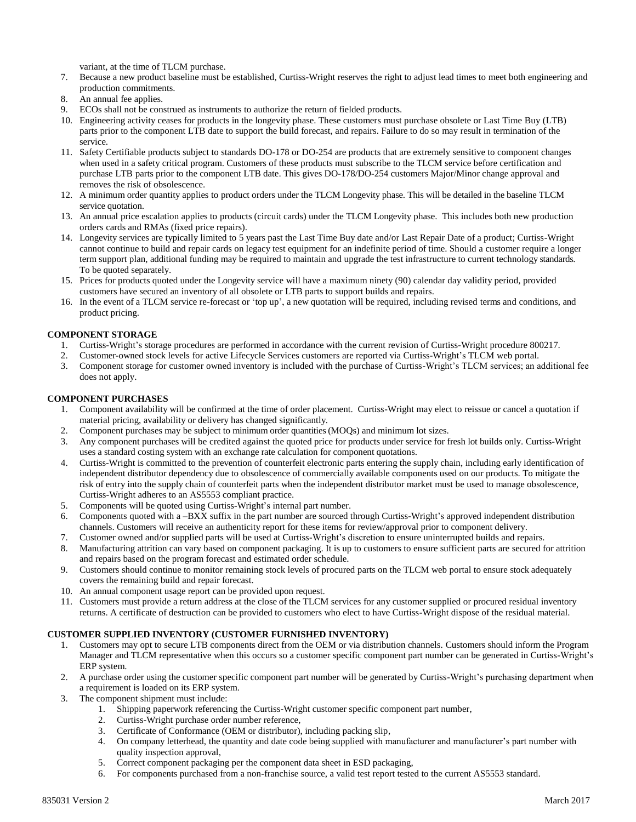variant, at the time of TLCM purchase.

- 7. Because a new product baseline must be established, Curtiss-Wright reserves the right to adjust lead times to meet both engineering and production commitments.
- 8. An annual fee applies.
- 9. ECOs shall not be construed as instruments to authorize the return of fielded products.
- 10. Engineering activity ceases for products in the longevity phase. These customers must purchase obsolete or Last Time Buy (LTB) parts prior to the component LTB date to support the build forecast, and repairs. Failure to do so may result in termination of the service.
- 11. Safety Certifiable products subject to standards DO-178 or DO-254 are products that are extremely sensitive to component changes when used in a safety critical program. Customers of these products must subscribe to the TLCM service before certification and purchase LTB parts prior to the component LTB date. This gives DO-178/DO-254 customers Major/Minor change approval and removes the risk of obsolescence.
- 12. A minimum order quantity applies to product orders under the TLCM Longevity phase. This will be detailed in the baseline TLCM service quotation.
- 13. An annual price escalation applies to products (circuit cards) under the TLCM Longevity phase. This includes both new production orders cards and RMAs (fixed price repairs).
- 14. Longevity services are typically limited to 5 years past the Last Time Buy date and/or Last Repair Date of a product; Curtiss-Wright cannot continue to build and repair cards on legacy test equipment for an indefinite period of time. Should a customer require a longer term support plan, additional funding may be required to maintain and upgrade the test infrastructure to current technology standards. To be quoted separately.
- 15. Prices for products quoted under the Longevity service will have a maximum ninety (90) calendar day validity period, provided customers have secured an inventory of all obsolete or LTB parts to support builds and repairs.
- 16. In the event of a TLCM service re-forecast or 'top up', a new quotation will be required, including revised terms and conditions, and product pricing.

## **COMPONENT STORAGE**

- 1. Curtiss-Wright's storage procedures are performed in accordance with the current revision of Curtiss-Wright procedure 800217.
- 2. Customer-owned stock levels for active Lifecycle Services customers are reported via Curtiss-Wright's TLCM web portal.
- 3. Component storage for customer owned inventory is included with the purchase of Curtiss-Wright's TLCM services; an additional fee does not apply.

#### **COMPONENT PURCHASES**

- 1. Component availability will be confirmed at the time of order placement. Curtiss-Wright may elect to reissue or cancel a quotation if material pricing, availability or delivery has changed significantly.
- 2. Component purchases may be subject to minimum order quantities (MOQs) and minimum lot sizes.
- 3. Any component purchases will be credited against the quoted price for products under service for fresh lot builds only. Curtiss-Wright uses a standard costing system with an exchange rate calculation for component quotations.
- 4. Curtiss-Wright is committed to the prevention of counterfeit electronic parts entering the supply chain, including early identification of independent distributor dependency due to obsolescence of commercially available components used on our products. To mitigate the risk of entry into the supply chain of counterfeit parts when the independent distributor market must be used to manage obsolescence, Curtiss-Wright adheres to an AS5553 compliant practice.
- 5. Components will be quoted using Curtiss-Wright's internal part number.
- 6. Components quoted with a –BXX suffix in the part number are sourced through Curtiss-Wright's approved independent distribution channels. Customers will receive an authenticity report for these items for review/approval prior to component delivery.
- 7. Customer owned and/or supplied parts will be used at Curtiss-Wright's discretion to ensure uninterrupted builds and repairs.
- 8. Manufacturing attrition can vary based on component packaging. It is up to customers to ensure sufficient parts are secured for attrition and repairs based on the program forecast and estimated order schedule.
- 9. Customers should continue to monitor remaining stock levels of procured parts on the TLCM web portal to ensure stock adequately covers the remaining build and repair forecast.
- 10. An annual component usage report can be provided upon request.
- 11. Customers must provide a return address at the close of the TLCM services for any customer supplied or procured residual inventory returns. A certificate of destruction can be provided to customers who elect to have Curtiss-Wright dispose of the residual material.

#### **CUSTOMER SUPPLIED INVENTORY (CUSTOMER FURNISHED INVENTORY)**

- 1. Customers may opt to secure LTB components direct from the OEM or via distribution channels. Customers should inform the Program Manager and TLCM representative when this occurs so a customer specific component part number can be generated in Curtiss-Wright's ERP system.
- 2. A purchase order using the customer specific component part number will be generated by Curtiss-Wright's purchasing department when a requirement is loaded on its ERP system.
- 3. The component shipment must include:
	- 1. Shipping paperwork referencing the Curtiss-Wright customer specific component part number,
	- 2. Curtiss-Wright purchase order number reference,<br>3. Certificate of Conformance (OEM or distributor),
	- 3. Certificate of Conformance (OEM or distributor), including packing slip,
	- 4. On company letterhead, the quantity and date code being supplied with manufacturer and manufacturer's part number with quality inspection approval,
	- 5. Correct component packaging per the component data sheet in ESD packaging,
	- 6. For components purchased from a non-franchise source, a valid test report tested to the current AS5553 standard.